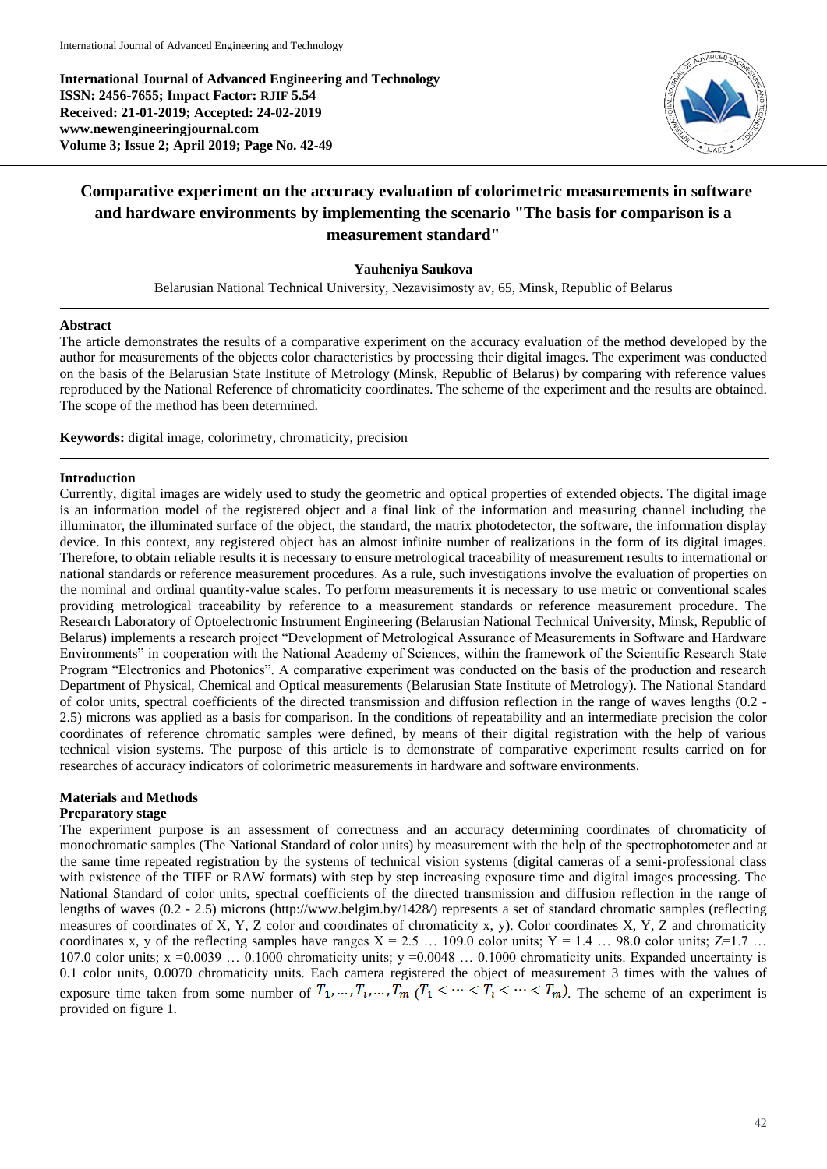**International Journal of Advanced Engineering and Technology ISSN: 2456-7655; Impact Factor: RJIF 5.54 Received: 21-01-2019; Accepted: 24-02-2019 www.newengineeringjournal.com Volume 3; Issue 2; April 2019; Page No. 42-49**



# **Comparative experiment on the accuracy evaluation of colorimetric measurements in software and hardware environments by implementing the scenario "The basis for comparison is a measurement standard"**

# **Yauheniya Saukova**

Belarusian National Technical University, Nezavisimosty av, 65, Minsk, Republic of Belarus

# **Abstract**

The article demonstrates the results of a comparative experiment on the accuracy evaluation of the method developed by the author for measurements of the objects color characteristics by processing their digital images. The experiment was conducted on the basis of the Belarusian State Institute of Metrology (Minsk, Republic of Belarus) by comparing with reference values reproduced by the National Reference of chromaticity coordinates. The scheme of the experiment and the results are obtained. The scope of the method has been determined.

**Keywords:** digital image, colorimetry, chromaticity, precision

## **Introduction**

Currently, digital images are widely used to study the geometric and optical properties of extended objects. The digital image is an information model of the registered object and a final link of the information and measuring channel including the illuminator, the illuminated surface of the object, the standard, the matrix photodetector, the software, the information display device. In this context, any registered object has an almost infinite number of realizations in the form of its digital images. Therefore, to obtain reliable results it is necessary to ensure metrological traceability of measurement results to international or national standards or reference measurement procedures. As a rule, such investigations involve the evaluation of properties on the nominal and ordinal quantity-value scales. To perform measurements it is necessary to use metric or conventional scales providing metrological traceability by reference to a measurement standards or reference measurement procedure. The Research Laboratory of Optoelectronic Instrument Engineering (Belarusian National Technical University, Minsk, Republic of Belarus) implements a research project "Development of Metrological Assurance of Measurements in Software and Hardware Environments" in cooperation with the National Academy of Sciences, within the framework of the Scientific Research State Program "Electronics and Photonics". A comparative experiment was conducted on the basis of the production and research Department of Physical, Chemical and Optical measurements (Belarusian State Institute of Metrology). The National Standard of color units, spectral coefficients of the directed transmission and diffusion reflection in the range of waves lengths (0.2 - 2.5) microns was applied as a basis for comparison. In the conditions of repeatability and an intermediate precision the color coordinates of reference chromatic samples were defined, by means of their digital registration with the help of various technical vision systems. The purpose of this article is to demonstrate of comparative experiment results carried on for researches of accuracy indicators of colorimetric measurements in hardware and software environments.

#### **Materials and Methods Preparatory stage**

The experiment purpose is an assessment of correctness and an accuracy determining coordinates of chromaticity of monochromatic samples (The National Standard of color units) by measurement with the help of the spectrophotometer and at the same time repeated registration by the systems of technical vision systems (digital cameras of a semi-professional class with existence of the TIFF or RAW formats) with step by step increasing exposure time and digital images processing. The National Standard of color units, spectral coefficients of the directed transmission and diffusion reflection in the range of lengths of waves (0.2 - 2.5) microns (http://www.belgim.by/1428/) represents a set of standard chromatic samples (reflecting measures of coordinates of X, Y, Z color and coordinates of chromaticity x, у). Color coordinates X, Y, Z and chromaticity coordinates x, y of the reflecting samples have ranges  $X = 2.5$  ... 109.0 color units;  $Y = 1.4$  ... 98.0 color units;  $Z=1.7$  ... 107.0 color units; x =0.0039 ... 0.1000 chromaticity units; y =0.0048 ... 0.1000 chromaticity units. Expanded uncertainty is 0.1 color units, 0.0070 chromaticity units. Each camera registered the object of measurement 3 times with the values of exposure time taken from some number of  $T_1, ..., T_i, ..., T_m$  ( $T_1 < ... < T_i < ... < T_m$ ). The scheme of an experiment is provided on figure 1.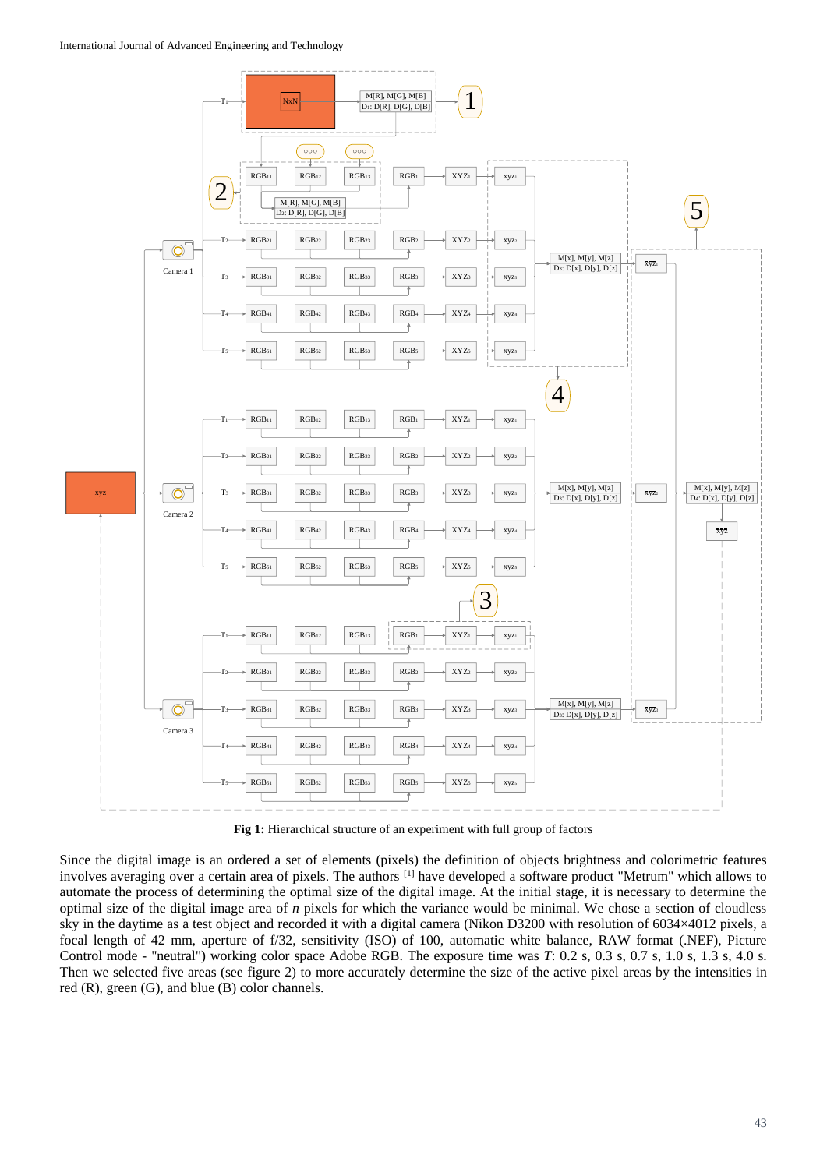#### International Journal of Advanced Engineering and Technology



**Fig 1:** Hierarchical structure of an experiment with full group of factors

Since the digital image is an ordered a set of elements (pixels) the definition of objects brightness and colorimetric features involves averaging over a certain area of pixels. The authors [1] have developed a software product "Metrum" which allows to automate the process of determining the optimal size of the digital image. At the initial stage, it is necessary to determine the optimal size of the digital image area of *n* pixels for which the variance would be minimal. We chose a section of cloudless sky in the daytime as a test object and recorded it with a digital camera (Nikon D3200 with resolution of 6034×4012 pixels, a focal length of 42 mm, aperture of f/32, sensitivity (ISO) of 100, automatic white balance, RAW format (.NEF), Picture Control mode - "neutral") working color space Adobe RGB. The exposure time was *T*: 0.2 s, 0.3 s, 0.7 s, 1.0 s, 1.3 s, 4.0 s. Then we selected five areas (see figure 2) to more accurately determine the size of the active pixel areas by the intensities in red (R), green (G), and blue (B) color channels.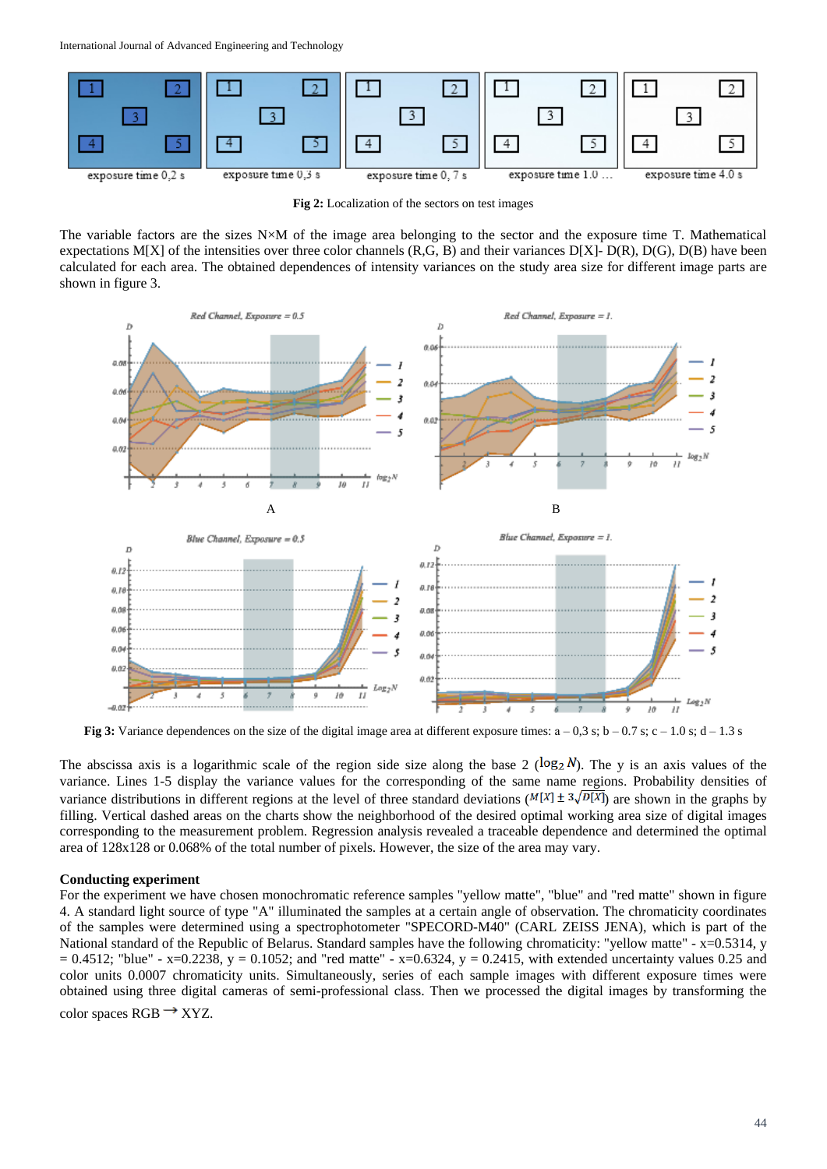

**Fig 2:** Localization of the sectors on test images

The variable factors are the sizes N×M of the image area belonging to the sector and the exposure time T. Mathematical expectations M[X] of the intensities over three color channels  $(R, G, B)$  and their variances  $D[X]$ -  $D(R)$ ,  $D(G)$ ,  $D(B)$  have been calculated for each area. The obtained dependences of intensity variances on the study area size for different image parts are shown in figure 3.



**Fig 3:** Variance dependences on the size of the digital image area at different exposure times:  $a - 0.3$  s;  $b - 0.7$  s;  $c - 1.0$  s;  $d - 1.3$  s

The abscissa axis is a logarithmic scale of the region side size along the base 2 ( $log_2 N$ ). The y is an axis values of the variance. Lines 1-5 display the variance values for the corresponding of the same name regions. Probability densities of variance distributions in different regions at the level of three standard deviations ( $M[X] \pm 3\sqrt{D[X]}$ ) are shown in the graphs by filling. Vertical dashed areas on the charts show the neighborhood of the desired optimal working area size of digital images corresponding to the measurement problem. Regression analysis revealed a traceable dependence and determined the optimal area of 128x128 or 0.068% of the total number of pixels. However, the size of the area may vary.

## **Conducting experiment**

For the experiment we have chosen monochromatic reference samples "yellow matte", "blue" and "red matte" shown in figure 4. A standard light source of type "A" illuminated the samples at a certain angle of observation. The chromaticity coordinates of the samples were determined using a spectrophotometer "SPECORD-M40" (CARL ZEISS JENA), which is part of the National standard of the Republic of Belarus. Standard samples have the following chromaticity: "yellow matte" - x=0.5314, y  $= 0.4512$ ; "blue" - x=0.2238, y = 0.1052; and "red matte" - x=0.6324, y = 0.2415, with extended uncertainty values 0.25 and color units 0.0007 chromaticity units. Simultaneously, series of each sample images with different exposure times were obtained using three digital cameras of semi-professional class. Then we processed the digital images by transforming the color spaces  $RGB \rightarrow XYZ$ .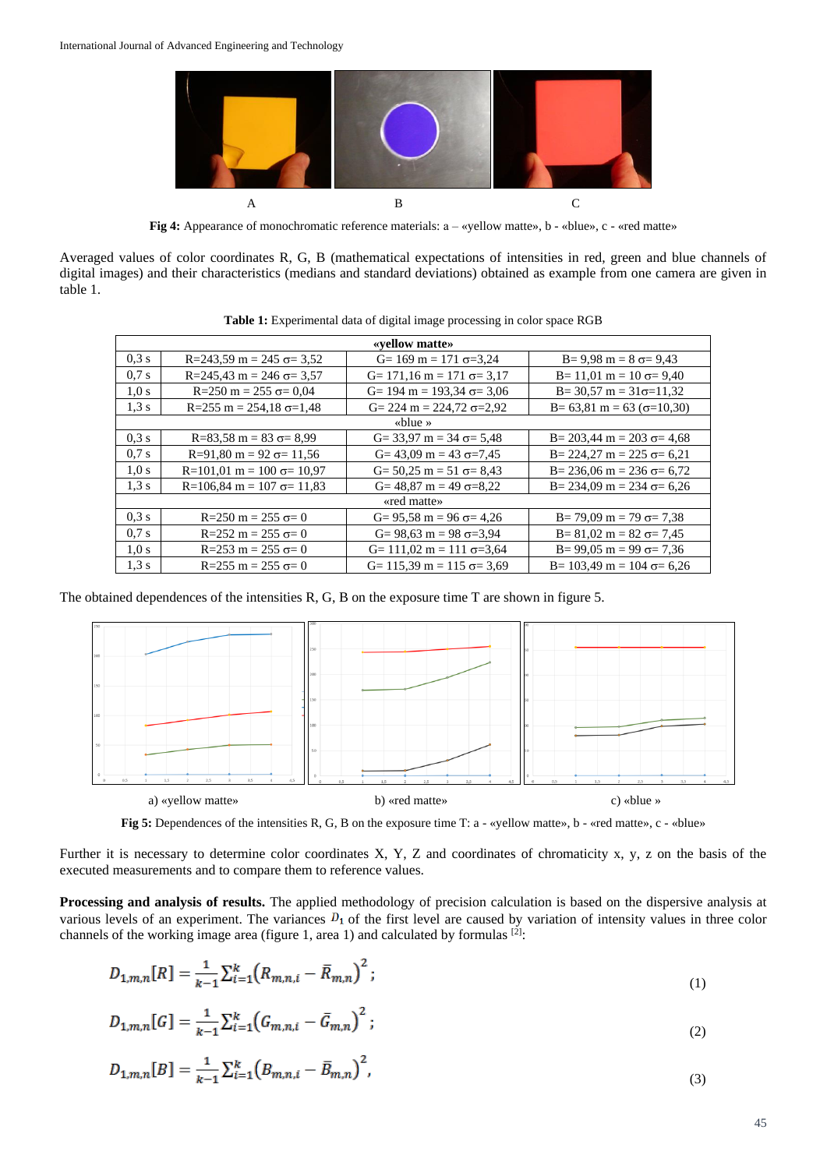

**Fig 4:** Appearance of monochromatic reference materials:  $a - \alpha$  vellow matte»,  $b - \alpha$  lue»,  $c - \alpha$  red matte»

Averaged values of color coordinates R, G, B (mathematical expectations of intensities in red, green and blue channels of digital images) and their characteristics (medians and standard deviations) obtained as example from one camera are given in table 1.

| «vellow matte»  |                                                   |                                                    |                                                      |  |  |  |  |
|-----------------|---------------------------------------------------|----------------------------------------------------|------------------------------------------------------|--|--|--|--|
| 0.3 s           | $R = 243.59$ m = 245 $\sigma = 3.52$              | $G = 169 \text{ m} = 171 \text{ }\sigma = 3.24$    | $B = 9.98$ m = $8 \sigma = 9.43$                     |  |  |  |  |
| 0.7 s           | $R = 245.43$ m = 246 $\sigma = 3.57$              | $G = 171.16 \text{ m} = 171 \text{ }\sigma = 3.17$ | $B = 11.01 \text{ m} = 10 \text{ oz} = 9.40$         |  |  |  |  |
| 1.0 s           | $R=250$ m = 255 $\sigma$ = 0.04                   | $G=194 \text{ m} = 193.34 \text{ }\sigma = 3.06$   | $B = 30,57$ m = $31\sigma = 11,32$                   |  |  |  |  |
| 1.3 s           | $R=255$ m = 254.18 $\sigma=1.48$                  | $G = 224 \text{ m} = 224.72 \text{ }\sigma = 2.92$ | $B = 63,81 \text{ m} = 63 \text{ } (\sigma = 10,30)$ |  |  |  |  |
| $\kappa$ blue » |                                                   |                                                    |                                                      |  |  |  |  |
| 0.3 s           | $R=83,58 \text{ m} = 83 \text{ }\sigma= 8.99$     | $G = 33.97$ m = 34 $\sigma = 5.48$                 | $B = 203,44 \text{ m} = 203 \text{ }\sigma = 4,68$   |  |  |  |  |
| 0.7 s           | $R=91,80 \text{ m} = 92 \text{ }\sigma= 11,56$    | $G = 43.09$ m = 43 $\sigma = 7.45$                 | $B = 224.27$ m = 225 $\sigma = 6.21$                 |  |  |  |  |
| 1.0 s           | $R=101.01$ m = 100 $\sigma$ = 10.97               | $G = 50,25 \text{ m} = 51 \text{ }\sigma = 8,43$   | B= 236,06 m = 236 $\sigma$ = 6,72                    |  |  |  |  |
| 1.3 s           | $R=106.84 \text{ m} = 107 \text{ }\sigma = 11.83$ | $G = 48,87 \text{ m} = 49 \text{ }\sigma = 8,22$   | $B = 234.09$ m = 234 $\sigma = 6.26$                 |  |  |  |  |
| «red matte»     |                                                   |                                                    |                                                      |  |  |  |  |
| 0.3 s           | $R = 250$ m = 255 $\sigma = 0$                    | $G = 95,58 \text{ m} = 96 \text{ }\sigma = 4,26$   | $B = 79.09 \text{ m} = 79 \text{ }\sigma = 7.38$     |  |  |  |  |
| 0.7 s           | $R = 252$ m = 255 $\sigma = 0$                    | $G = 98.63$ m = 98 $\sigma = 3.94$                 | $B = 81,02 \text{ m} = 82 \text{ }\sigma = 7,45$     |  |  |  |  |
| 1.0 s           | $R=253$ m = 255 $\sigma=0$                        | $G = 111.02 \text{ m} = 111 \text{ }\sigma = 3.64$ | $B = 99.05$ m = 99 $\sigma = 7.36$                   |  |  |  |  |
| 1.3 s           | $R=255$ m = 255 $\sigma$ = 0                      | $G = 115.39 \text{ m} = 115 \text{ }\sigma = 3.69$ | B= 103.49 m = 104 $\sigma$ = 6.26                    |  |  |  |  |

**Table 1:** Experimental data of digital image processing in color space RGB

The obtained dependences of the intensities R, G, B on the exposure time T are shown in figure 5.



**Fig 5:** Dependences of the intensities R, G, B on the exposure time T: a - «yellow matte», b - «red matte», c - «blue»

Further it is necessary to determine color coordinates X, Y, Z and coordinates of chromaticity x, y, z on the basis of the executed measurements and to compare them to reference values.

**Processing and analysis of results.** The applied methodology of precision calculation is based on the dispersive analysis at various levels of an experiment. The variances  $D_1$  of the first level are caused by variation of intensity values in three color channels of the working image area (figure 1, area 1) and calculated by formulas  $^{[2]}$ :

$$
D_{1,m,n}[R] = \frac{1}{k-1} \sum_{i=1}^{k} \left( R_{m,n,i} - \bar{R}_{m,n} \right)^2; \tag{1}
$$

$$
D_{1,m,n}[G] = \frac{1}{k-1} \sum_{i=1}^{k} \left( G_{m,n,i} - \bar{G}_{m,n} \right)^2; \tag{2}
$$

$$
D_{1,m,n}[B] = \frac{1}{k-1} \sum_{i=1}^{k} \left( B_{m,n,i} - \bar{B}_{m,n} \right)^2, \tag{3}
$$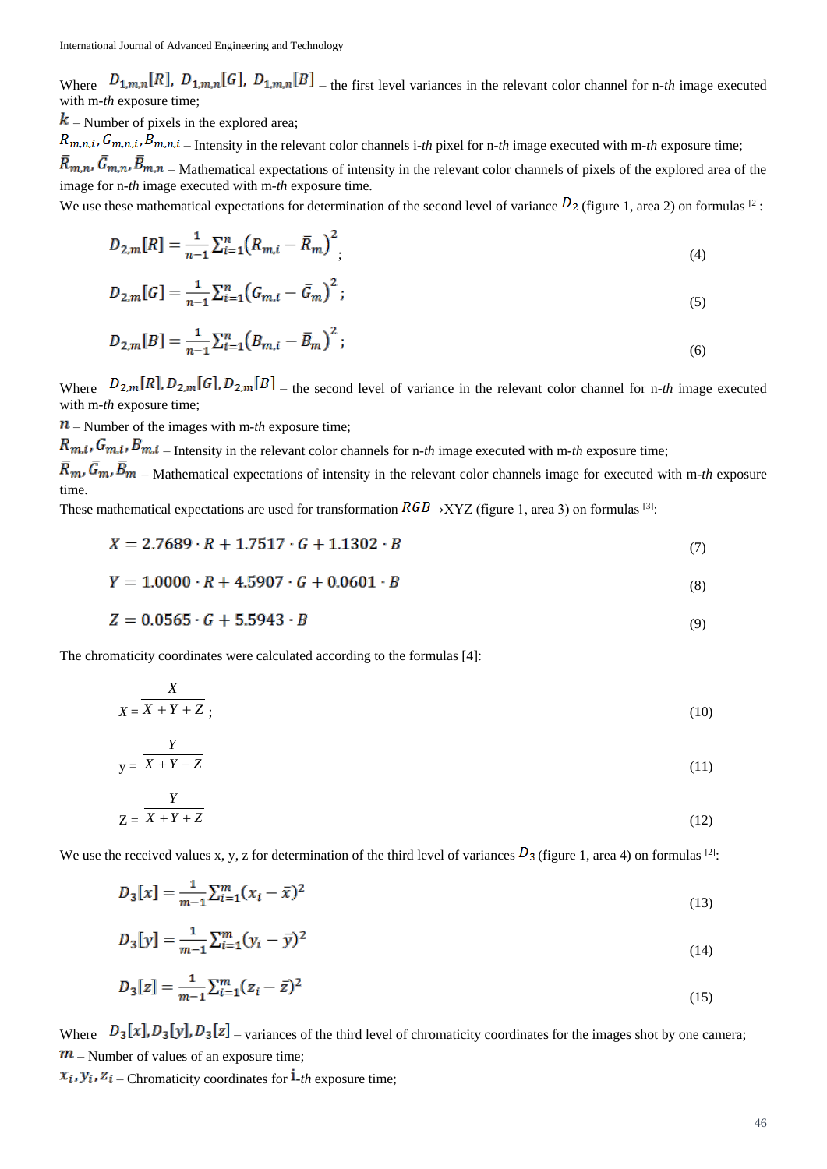Where  $D_{1,m,n}[R]$ ,  $D_{1,m,n}[G]$ ,  $D_{1,m,n}[B]$  – the first level variances in the relevant color channel for n-th image executed with m-*th* exposure time:

 $\boldsymbol{k}$  – Number of pixels in the explored area;

 $R_{m,n,i}$ ,  $G_{m,n,i}$ ,  $\overline{B}_{m,n,i}$  – Intensity in the relevant color channels i-th pixel for n-th image executed with m-th exposure time;  $\bar{R}_{m,n}$ ,  $\bar{G}_{m,n}$ ,  $\bar{B}_{m,n}$  – Mathematical expectations of intensity in the relevant color channels of pixels of the explored area of the image for n*-th* image executed with m*-th* exposure time.

We use these mathematical expectations for determination of the second level of variance  $D_2$  (figure 1, area 2) on formulas [2]:

$$
D_{2,m}[R] = \frac{1}{n-1} \sum_{i=1}^{n} \left( R_{m,i} - \bar{R}_m \right)^2,
$$
\n(4)

$$
D_{2,m}[G] = \frac{1}{n-1} \sum_{i=1}^{n} \left( G_{m,i} - \bar{G}_m \right)^2; \tag{5}
$$

$$
D_{2,m}[B] = \frac{1}{n-1} \sum_{i=1}^{n} \left( B_{m,i} - \bar{B}_m \right)^2; \tag{6}
$$

Where  $D_{2,m}[R], D_{2,m}[G], D_{2,m}[B]$  – the second level of variance in the relevant color channel for n-th image executed with m*-th* exposure time;

 $\mathbf{n}$  – Number of the images with m-th exposure time;

*X*

 $R_{m,i}$ ,  $G_{m,i}$ ,  $B_{m,i}$  – Intensity in the relevant color channels for n-*th* image executed with m-*th* exposure time;

 $\overline{R}_m$ ,  $\overline{G}_m$ ,  $\overline{B}_m$  – Mathematical expectations of intensity in the relevant color channels image for executed with m-th exposure time.

These mathematical expectations are used for transformation  $RGB\rightarrow XYZ$  (figure 1, area 3) on formulas [3]:

$$
X = 2.7689 \cdot R + 1.7517 \cdot G + 1.1302 \cdot B \tag{7}
$$

$$
Y = 1.0000 \cdot R + 4.5907 \cdot G + 0.0601 \cdot B \tag{8}
$$

$$
Z = 0.0565 \cdot G + 5.5943 \cdot B \tag{9}
$$

The chromaticity coordinates were calculated according to the formulas [4]:

$$
X = \frac{X}{X+Y+Z} \tag{10}
$$

$$
y = \frac{Y}{X + Y + Z} \tag{11}
$$

$$
Y \\
$$

$$
Z = X + Y + Z \tag{12}
$$

We use the received values x, y, z for determination of the third level of variances  $D_3$  (figure 1, area 4) on formulas [2]:

$$
D_3[x] = \frac{1}{m-1} \sum_{i=1}^{m} (x_i - \bar{x})^2
$$
\n(13)

$$
D_3[y] = \frac{1}{m-1} \sum_{i=1}^{m} (y_i - \bar{y})^2
$$
\n(14)

$$
D_3[z] = \frac{1}{m-1} \sum_{i=1}^{m} (z_i - \bar{z})^2
$$
\n(15)

Where  $D_3[x], D_3[y], D_3[z]$  – variances of the third level of chromaticity coordinates for the images shot by one camera;  $m$  – Number of values of an exposure time;

 $x_i, y_i, z_i$  – Chromaticity coordinates for  $\mathbf{i}_{-th}$  exposure time;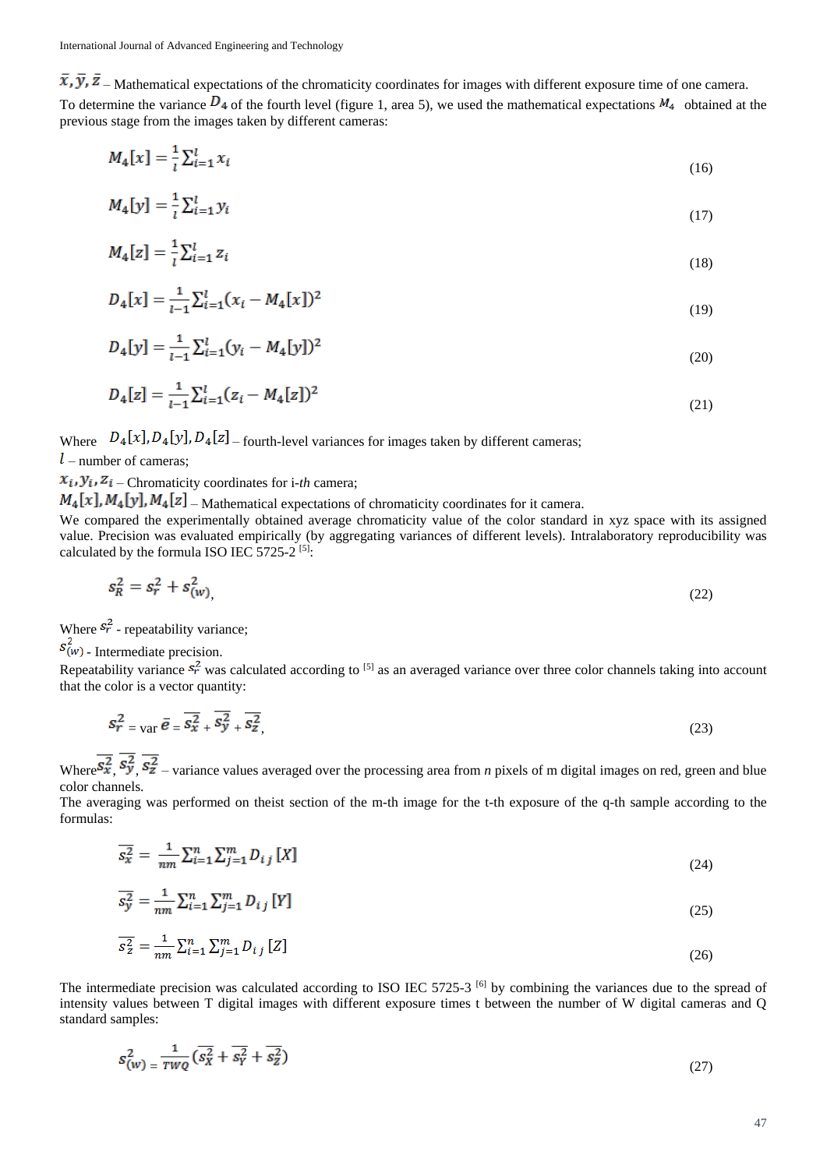$\bar{x}, \bar{y}, \bar{z}$  – Mathematical expectations of the chromaticity coordinates for images with different exposure time of one camera. To determine the variance  $D_4$  of the fourth level (figure 1, area 5), we used the mathematical expectations  $M_4$  obtained at the previous stage from the images taken by different cameras:

$$
M_4[x] = \frac{1}{l} \sum_{i=1}^{l} x_i
$$
\n<sup>(16)</sup>

$$
M_4[y] = \frac{1}{l} \sum_{i=1}^{l} y_i
$$
 (17)

$$
M_4[z] = \frac{1}{i} \sum_{i=1}^{l} z_i
$$
\n(18)

$$
D_4[x] = \frac{1}{l-1} \sum_{i=1}^{l} (x_i - M_4[x])^2
$$
\n(19)

$$
D_4[y] = \frac{1}{l-1} \sum_{i=1}^{l} (y_i - M_4[y])^2
$$
\n(20)

$$
D_4[z] = \frac{1}{l-1} \sum_{i=1}^{l} (z_i - M_4[z])^2
$$
\n(21)

Where  $D_4[x], D_4[y], D_4[z]$  – fourth-level variances for images taken by different cameras;

 $l$  – number of cameras:

 $x_i, y_i, z_i$  – Chromaticity coordinates for i-*th* camera;

 $M_4[x]$ ,  $M_4[y]$ ,  $M_4[z]$  – Mathematical expectations of chromaticity coordinates for it camera.

We compared the experimentally obtained average chromaticity value of the color standard in xyz space with its assigned value. Precision was evaluated empirically (by aggregating variances of different levels). Intralaboratory reproducibility was calculated by the formula ISO IEC 5725-2 [5]:

$$
s_R^2 = s_r^2 + s_{(w)}^2,\tag{22}
$$

Where  $s_r^2$  - repeatability variance;

 $s_{(w)}^2$  - Intermediate precision.

Repeatability variance  $s_r^2$  was calculated according to <sup>[5]</sup> as an averaged variance over three color channels taking into account that the color is a vector quantity:

$$
s_r^2 = \text{var}\,\bar{e} = \overline{s_x^2} + \overline{s_y^2} + \overline{s_z^2},\tag{23}
$$

Where  $\overline{s_x^2}$ ,  $\overline{s_y^2}$ ,  $\overline{s_z^2}$  – variance values averaged over the processing area from *n* pixels of m digital images on red, green and blue color channels.

The averaging was performed on theist section of the m-th image for the t-th exposure of the q-th sample according to the formulas:

$$
\overline{s_x^2} = \frac{1}{nm} \sum_{i=1}^n \sum_{j=1}^m D_{ij} [X] \tag{24}
$$

$$
\overline{s_y^2} = \frac{1}{nm} \sum_{i=1}^n \sum_{j=1}^m D_{ij} [Y]
$$
\n(25)

$$
\overline{s_z^2} = \frac{1}{nm} \sum_{i=1}^n \sum_{j=1}^m D_{ij} [Z] \tag{26}
$$

The intermediate precision was calculated according to ISO IEC 5725-3<sup>[6]</sup> by combining the variances due to the spread of intensity values between T digital images with different exposure times t between the number of W digital cameras and Q standard samples:

$$
s_{(w)}^2 = \frac{1}{\tau w \varrho} \left( \overline{s_x^2} + \overline{s_y^2} + \overline{s_z^2} \right) \tag{27}
$$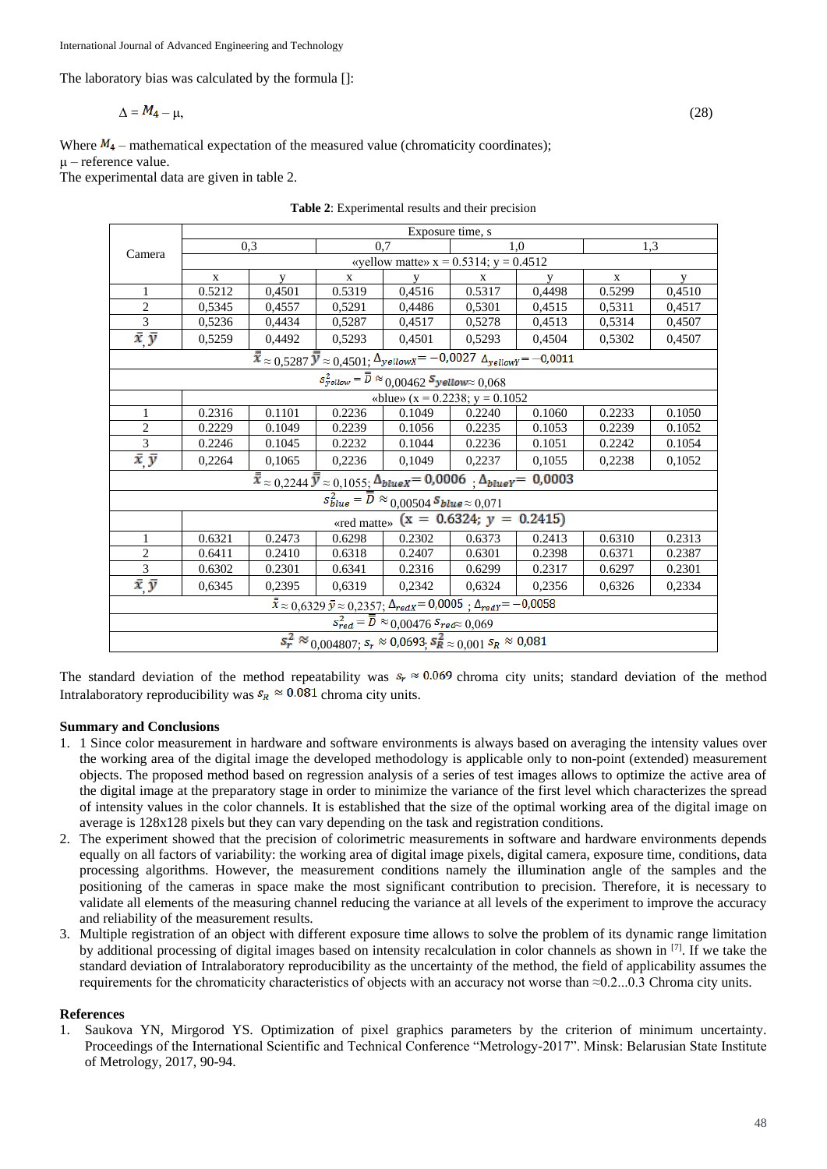The laboratory bias was calculated by the formula []:

$$
\Delta = M_4 - \mu, \tag{28}
$$

Where  $M_4$  – mathematical expectation of the measured value (chromaticity coordinates); μ – reference value.

The experimental data are given in table 2.

|  |  | <b>Table 2:</b> Experimental results and their precision |  |  |  |
|--|--|----------------------------------------------------------|--|--|--|
|--|--|----------------------------------------------------------|--|--|--|

|                                                                                                                                                                | Exposure time, s                           |        |        |        |        |        |             |        |  |
|----------------------------------------------------------------------------------------------------------------------------------------------------------------|--------------------------------------------|--------|--------|--------|--------|--------|-------------|--------|--|
| Camera                                                                                                                                                         | 0,3                                        |        | 0,7    |        | 1,0    |        | 1,3         |        |  |
|                                                                                                                                                                | «yellow matte» $x = 0.5314$ ; $y = 0.4512$ |        |        |        |        |        |             |        |  |
|                                                                                                                                                                | $\mathbf{X}$                               | V      | X      | V      | X      | V      | $\mathbf X$ | y      |  |
| $\mathbf{1}$                                                                                                                                                   | 0.5212                                     | 0,4501 | 0.5319 | 0,4516 | 0.5317 | 0,4498 | 0.5299      | 0,4510 |  |
| $\overline{2}$                                                                                                                                                 | 0,5345                                     | 0,4557 | 0,5291 | 0,4486 | 0,5301 | 0,4515 | 0,5311      | 0,4517 |  |
| $\overline{3}$                                                                                                                                                 | 0,5236                                     | 0,4434 | 0,5287 | 0,4517 | 0,5278 | 0,4513 | 0,5314      | 0,4507 |  |
| $\bar{x}$ $\bar{y}$                                                                                                                                            | 0,5259                                     | 0,4492 | 0,5293 | 0,4501 | 0,5293 | 0,4504 | 0,5302      | 0,4507 |  |
| $\overline{\overline{x}} \approx 0,5287 \overline{\overline{y}} \approx 0,4501; \Delta_{yellow}x = -0,0027 \Delta_{yellow}r = -0,0011$                         |                                            |        |        |        |        |        |             |        |  |
| $s^2_{yellow} = \overline{\overline{D}} \approx \frac{0.00462 \, \textit{S} \cdot \textit{yellow}}{0.00462 \, \textit{S} \cdot \textit{yellow}} \approx 0.068$ |                                            |        |        |        |        |        |             |        |  |
|                                                                                                                                                                | «blue» ( $x = 0.2238$ ; $y = 0.1052$       |        |        |        |        |        |             |        |  |
| $\mathbf{1}$                                                                                                                                                   | 0.2316                                     | 0.1101 | 0.2236 | 0.1049 | 0.2240 | 0.1060 | 0.2233      | 0.1050 |  |
| $\overline{2}$                                                                                                                                                 | 0.2229                                     | 0.1049 | 0.2239 | 0.1056 | 0.2235 | 0.1053 | 0.2239      | 0.1052 |  |
| $\overline{3}$                                                                                                                                                 | 0.2246                                     | 0.1045 | 0.2232 | 0.1044 | 0.2236 | 0.1051 | 0.2242      | 0.1054 |  |
| $\bar{x}$ $\bar{y}$                                                                                                                                            | 0,2264                                     | 0,1065 | 0,2236 | 0,1049 | 0,2237 | 0,1055 | 0,2238      | 0,1052 |  |
| $\overline{\bar{x}} \approx 0.2244 \,\overline{\bar{y}} \approx 0.1055; \Delta_{blueX} = 0.0006 \,\, , \Delta_{blueY} = 0.0003$                                |                                            |        |        |        |        |        |             |        |  |
| $s_{blue}^2 = \overline{D} \approx 0.00504 S_{blue} \approx 0.071$                                                                                             |                                            |        |        |        |        |        |             |        |  |
| «red matte» (x = $0.632\overline{4}$ ; y = 0.2415)                                                                                                             |                                            |        |        |        |        |        |             |        |  |
| $\mathbf{1}$                                                                                                                                                   | 0.6321                                     | 0.2473 | 0.6298 | 0.2302 | 0.6373 | 0.2413 | 0.6310      | 0.2313 |  |
| $\sqrt{2}$                                                                                                                                                     | 0.6411                                     | 0.2410 | 0.6318 | 0.2407 | 0.6301 | 0.2398 | 0.6371      | 0.2387 |  |
| $\overline{3}$                                                                                                                                                 | 0.6302                                     | 0.2301 | 0.6341 | 0.2316 | 0.6299 | 0.2317 | 0.6297      | 0.2301 |  |
| $\bar{x}$ $\bar{y}$                                                                                                                                            | 0,6345                                     | 0,2395 | 0,6319 | 0,2342 | 0,6324 | 0,2356 | 0,6326      | 0,2334 |  |
| $\bar{x} \approx 0,6329 \bar{y} \approx 0,2357; \Delta_{redX} = 0,0005; \Delta_{redY} = -0,0058$                                                               |                                            |        |        |        |        |        |             |        |  |
| $\overline{s_{red}^2} = \overline{\overline{D}} \approx 0,00476$ $s_{red} \approx 0,069$                                                                       |                                            |        |        |        |        |        |             |        |  |
| $s_r^2 \approx 0.004807$ ; $s_r \approx 0.0693$ ; $s_R^2 \approx 0.001$ $s_R \approx 0.081$                                                                    |                                            |        |        |        |        |        |             |        |  |

The standard deviation of the method repeatability was  $s_r \approx 0.069$  chroma city units; standard deviation of the method Intralaboratory reproducibility was  $s_R \approx 0.081$  chroma city units.

# **Summary and Conclusions**

- 1. 1 Since color measurement in hardware and software environments is always based on averaging the intensity values over the working area of the digital image the developed methodology is applicable only to non-point (extended) measurement objects. The proposed method based on regression analysis of a series of test images allows to optimize the active area of the digital image at the preparatory stage in order to minimize the variance of the first level which characterizes the spread of intensity values in the color channels. It is established that the size of the optimal working area of the digital image on average is 128x128 pixels but they can vary depending on the task and registration conditions.
- 2. The experiment showed that the precision of colorimetric measurements in software and hardware environments depends equally on all factors of variability: the working area of digital image pixels, digital camera, exposure time, conditions, data processing algorithms. However, the measurement conditions namely the illumination angle of the samples and the positioning of the cameras in space make the most significant contribution to precision. Therefore, it is necessary to validate all elements of the measuring channel reducing the variance at all levels of the experiment to improve the accuracy and reliability of the measurement results.
- 3. Multiple registration of an object with different exposure time allows to solve the problem of its dynamic range limitation by additional processing of digital images based on intensity recalculation in color channels as shown in [7]. If we take the standard deviation of Intralaboratory reproducibility as the uncertainty of the method, the field of applicability assumes the requirements for the chromaticity characteristics of objects with an accuracy not worse than ≈0.2...0.3 Chroma city units.

# **References**

1. Saukova YN, Mirgorod YS. Optimization of pixel graphics parameters by the criterion of minimum uncertainty. Proceedings of the International Scientific and Technical Conference "Metrology-2017". Minsk: Belarusian State Institute of Metrology, 2017, 90-94.